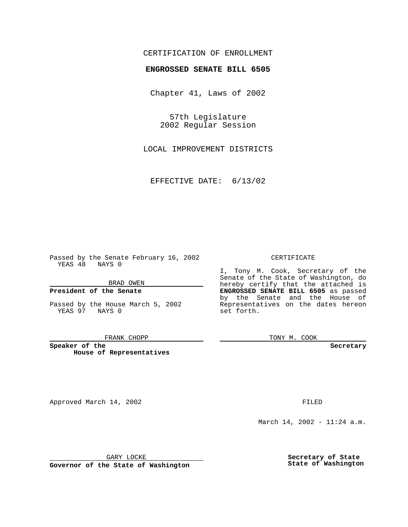# CERTIFICATION OF ENROLLMENT

# **ENGROSSED SENATE BILL 6505**

Chapter 41, Laws of 2002

57th Legislature 2002 Regular Session

LOCAL IMPROVEMENT DISTRICTS

EFFECTIVE DATE: 6/13/02

Passed by the Senate February 16, 2002 YEAS 48 NAYS 0

BRAD OWEN

### **President of the Senate**

Passed by the House March 5, 2002 YEAS 97 NAYS 0

#### FRANK CHOPP

**Speaker of the House of Representatives**

Approved March 14, 2002 **FILED** 

#### CERTIFICATE

I, Tony M. Cook, Secretary of the Senate of the State of Washington, do hereby certify that the attached is **ENGROSSED SENATE BILL 6505** as passed by the Senate and the House of Representatives on the dates hereon set forth.

TONY M. COOK

**Secretary**

March 14, 2002 - 11:24 a.m.

GARY LOCKE

**Governor of the State of Washington**

**Secretary of State State of Washington**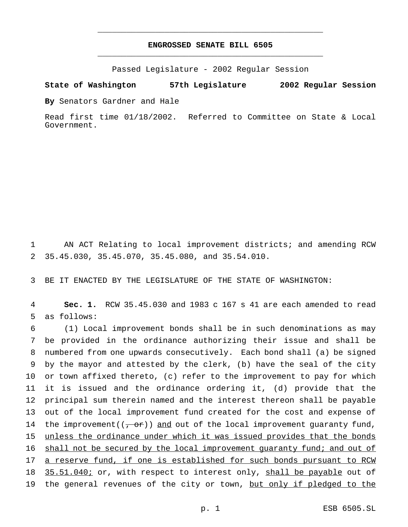# **ENGROSSED SENATE BILL 6505** \_\_\_\_\_\_\_\_\_\_\_\_\_\_\_\_\_\_\_\_\_\_\_\_\_\_\_\_\_\_\_\_\_\_\_\_\_\_\_\_\_\_\_\_\_\_\_

\_\_\_\_\_\_\_\_\_\_\_\_\_\_\_\_\_\_\_\_\_\_\_\_\_\_\_\_\_\_\_\_\_\_\_\_\_\_\_\_\_\_\_\_\_\_\_

Passed Legislature - 2002 Regular Session

**State of Washington 57th Legislature 2002 Regular Session**

**By** Senators Gardner and Hale

Read first time 01/18/2002. Referred to Committee on State & Local Government.

1 AN ACT Relating to local improvement districts; and amending RCW 2 35.45.030, 35.45.070, 35.45.080, and 35.54.010.

3 BE IT ENACTED BY THE LEGISLATURE OF THE STATE OF WASHINGTON:

4 **Sec. 1.** RCW 35.45.030 and 1983 c 167 s 41 are each amended to read 5 as follows:

 (1) Local improvement bonds shall be in such denominations as may be provided in the ordinance authorizing their issue and shall be numbered from one upwards consecutively. Each bond shall (a) be signed by the mayor and attested by the clerk, (b) have the seal of the city or town affixed thereto, (c) refer to the improvement to pay for which it is issued and the ordinance ordering it, (d) provide that the principal sum therein named and the interest thereon shall be payable out of the local improvement fund created for the cost and expense of 14 the improvement( $(\tau$  or)) and out of the local improvement guaranty fund, unless the ordinance under which it was issued provides that the bonds 16 shall not be secured by the local improvement quaranty fund; and out of 17 a reserve fund, if one is established for such bonds pursuant to RCW 18 35.51.040; or, with respect to interest only, shall be payable out of 19 the general revenues of the city or town, but only if pledged to the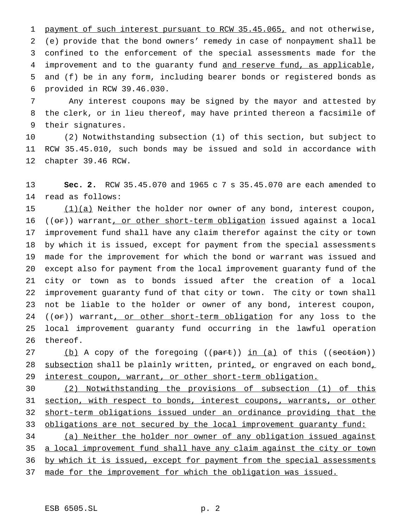1 payment of such interest pursuant to RCW 35.45.065, and not otherwise, (e) provide that the bond owners' remedy in case of nonpayment shall be confined to the enforcement of the special assessments made for the 4 improvement and to the guaranty fund and reserve fund, as applicable, and (f) be in any form, including bearer bonds or registered bonds as provided in RCW 39.46.030.

 Any interest coupons may be signed by the mayor and attested by the clerk, or in lieu thereof, may have printed thereon a facsimile of their signatures.

 (2) Notwithstanding subsection (1) of this section, but subject to RCW 35.45.010, such bonds may be issued and sold in accordance with chapter 39.46 RCW.

 **Sec. 2.** RCW 35.45.070 and 1965 c 7 s 35.45.070 are each amended to read as follows:

 $(1)(a)$  Neither the holder nor owner of any bond, interest coupon,  $((or))$  warrant, or other short-term obligation issued against a local improvement fund shall have any claim therefor against the city or town by which it is issued, except for payment from the special assessments made for the improvement for which the bond or warrant was issued and except also for payment from the local improvement guaranty fund of the city or town as to bonds issued after the creation of a local improvement guaranty fund of that city or town. The city or town shall not be liable to the holder or owner of any bond, interest coupon, 24 ((or)) warrant, or other short-term obligation for any loss to the local improvement guaranty fund occurring in the lawful operation thereof.

27 (b) A copy of the foregoing ((part)) in (a) of this ((section)) 28 subsection shall be plainly written, printed, or engraved on each bond, 29 interest coupon, warrant, or other short-term obligation.

 (2) Notwithstanding the provisions of subsection (1) of this section, with respect to bonds, interest coupons, warrants, or other short-term obligations issued under an ordinance providing that the 33 obligations are not secured by the local improvement guaranty fund:

 (a) Neither the holder nor owner of any obligation issued against 35 a local improvement fund shall have any claim against the city or town 36 by which it is issued, except for payment from the special assessments made for the improvement for which the obligation was issued.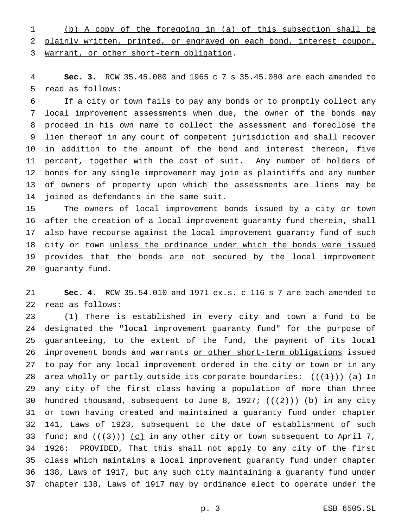(b) A copy of the foregoing in (a) of this subsection shall be plainly written, printed, or engraved on each bond, interest coupon, warrant, or other short-term obligation.

 **Sec. 3.** RCW 35.45.080 and 1965c7s 35.45.080 are each amended to read as follows:

 If a city or town fails to pay any bonds or to promptly collect any local improvement assessments when due, the owner of the bonds may proceed in his own name to collect the assessment and foreclose the lien thereof in any court of competent jurisdiction and shall recover in addition to the amount of the bond and interest thereon, five percent, together with the cost of suit. Any number of holders of bonds for any single improvement may join as plaintiffs and any number of owners of property upon which the assessments are liens may be joined as defendants in the same suit.

 The owners of local improvement bonds issued by a city or town after the creation of a local improvement guaranty fund therein, shall also have recourse against the local improvement guaranty fund of such 18 city or town unless the ordinance under which the bonds were issued provides that the bonds are not secured by the local improvement 20 guaranty fund.

 **Sec. 4.** RCW 35.54.010 and 1971 ex.s. c 116 s 7 are each amended to read as follows:

23 (1) There is established in every city and town a fund to be designated the "local improvement guaranty fund" for the purpose of guaranteeing, to the extent of the fund, the payment of its local improvement bonds and warrants or other short-term obligations issued to pay for any local improvement ordered in the city or town or in any 28 area wholly or partly outside its corporate boundaries:  $((+1))$  (a) In any city of the first class having a population of more than three 30 hundred thousand, subsequent to June 8, 1927;  $((+2))$  (b) in any city or town having created and maintained a guaranty fund under chapter 141, Laws of 1923, subsequent to the date of establishment of such 33 fund; and  $((+3))$  (c) in any other city or town subsequent to April 7, 1926: PROVIDED, That this shall not apply to any city of the first class which maintains a local improvement guaranty fund under chapter 138, Laws of 1917, but any such city maintaining a guaranty fund under chapter 138, Laws of 1917 may by ordinance elect to operate under the